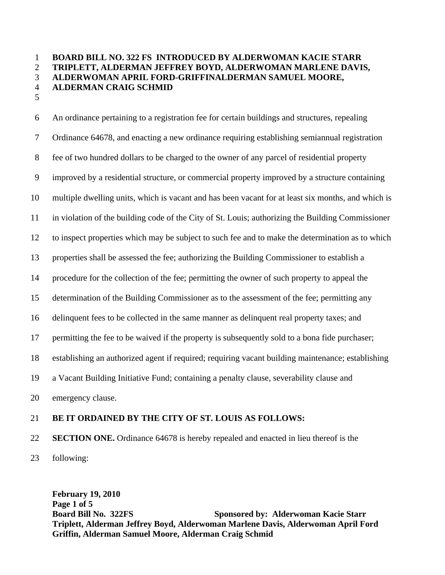## 1 **BOARD BILL NO. 322 FS INTRODUCED BY ALDERWOMAN KACIE STARR**  2 **TRIPLETT, ALDERMAN JEFFREY BOYD, ALDERWOMAN MARLENE DAVIS,**  3 **ALDERWOMAN APRIL FORD-GRIFFINALDERMAN SAMUEL MOORE,**  4 **ALDERMAN CRAIG SCHMID**  5

6 An ordinance pertaining to a registration fee for certain buildings and structures, repealing 7 Ordinance 64678, and enacting a new ordinance requiring establishing semiannual registration 8 fee of two hundred dollars to be charged to the owner of any parcel of residential property 9 improved by a residential structure, or commercial property improved by a structure containing 10 multiple dwelling units, which is vacant and has been vacant for at least six months, and which is 11 in violation of the building code of the City of St. Louis; authorizing the Building Commissioner 12 to inspect properties which may be subject to such fee and to make the determination as to which 13 properties shall be assessed the fee; authorizing the Building Commissioner to establish a 14 procedure for the collection of the fee; permitting the owner of such property to appeal the 15 determination of the Building Commissioner as to the assessment of the fee; permitting any 16 delinquent fees to be collected in the same manner as delinquent real property taxes; and 17 permitting the fee to be waived if the property is subsequently sold to a bona fide purchaser; 18 establishing an authorized agent if required; requiring vacant building maintenance; establishing 19 a Vacant Building Initiative Fund; containing a penalty clause, severability clause and 20 emergency clause.

## 21 **BE IT ORDAINED BY THE CITY OF ST. LOUIS AS FOLLOWS:**

22 **SECTION ONE.** Ordinance 64678 is hereby repealed and enacted in lieu thereof is the

23 following:

**February 19, 2010 Page 1 of 5 Board Bill No. 322FS** Sponsored by: Alderwoman Kacie Starr **Sponsored by: Alderwoman Kacie Starr Triplett, Alderman Jeffrey Boyd, Alderwoman Marlene Davis, Alderwoman April Ford Griffin, Alderman Samuel Moore, Alderman Craig Schmid**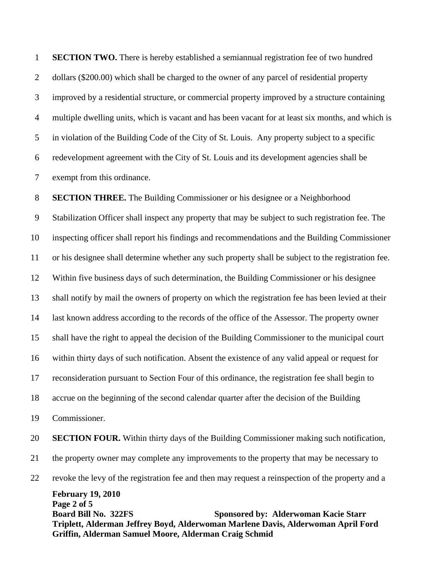1 **SECTION TWO.** There is hereby established a semiannual registration fee of two hundred 2 dollars (\$200.00) which shall be charged to the owner of any parcel of residential property 3 improved by a residential structure, or commercial property improved by a structure containing 4 multiple dwelling units, which is vacant and has been vacant for at least six months, and which is 5 in violation of the Building Code of the City of St. Louis. Any property subject to a specific 6 redevelopment agreement with the City of St. Louis and its development agencies shall be 7 exempt from this ordinance.

**February 19, 2010 Page 2 of 5 Board Bill No. 322FS** Sponsored by: Alderwoman Kacie Starr **Sponsored by: Alderwoman Kacie Starr Triplett, Alderman Jeffrey Boyd, Alderwoman Marlene Davis, Alderwoman April Ford Griffin, Alderman Samuel Moore, Alderman Craig Schmid** 8 **SECTION THREE.** The Building Commissioner or his designee or a Neighborhood 9 Stabilization Officer shall inspect any property that may be subject to such registration fee. The 10 inspecting officer shall report his findings and recommendations and the Building Commissioner 11 or his designee shall determine whether any such property shall be subject to the registration fee. 12 Within five business days of such determination, the Building Commissioner or his designee 13 shall notify by mail the owners of property on which the registration fee has been levied at their 14 last known address according to the records of the office of the Assessor. The property owner 15 shall have the right to appeal the decision of the Building Commissioner to the municipal court 16 within thirty days of such notification. Absent the existence of any valid appeal or request for 17 reconsideration pursuant to Section Four of this ordinance, the registration fee shall begin to 18 accrue on the beginning of the second calendar quarter after the decision of the Building 19 Commissioner. 20 **SECTION FOUR.** Within thirty days of the Building Commissioner making such notification, 21 the property owner may complete any improvements to the property that may be necessary to 22 revoke the levy of the registration fee and then may request a reinspection of the property and a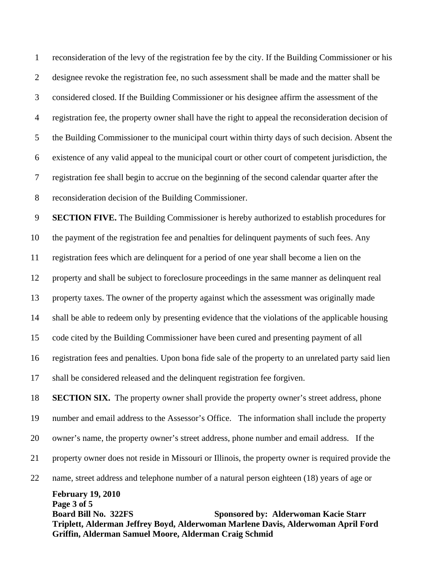1 reconsideration of the levy of the registration fee by the city. If the Building Commissioner or his 2 designee revoke the registration fee, no such assessment shall be made and the matter shall be 3 considered closed. If the Building Commissioner or his designee affirm the assessment of the 4 registration fee, the property owner shall have the right to appeal the reconsideration decision of 5 the Building Commissioner to the municipal court within thirty days of such decision. Absent the 6 existence of any valid appeal to the municipal court or other court of competent jurisdiction, the 7 registration fee shall begin to accrue on the beginning of the second calendar quarter after the 8 reconsideration decision of the Building Commissioner.

9 **SECTION FIVE.** The Building Commissioner is hereby authorized to establish procedures for 10 the payment of the registration fee and penalties for delinquent payments of such fees. Any 11 registration fees which are delinquent for a period of one year shall become a lien on the 12 property and shall be subject to foreclosure proceedings in the same manner as delinquent real 13 property taxes. The owner of the property against which the assessment was originally made 14 shall be able to redeem only by presenting evidence that the violations of the applicable housing 15 code cited by the Building Commissioner have been cured and presenting payment of all 16 registration fees and penalties. Upon bona fide sale of the property to an unrelated party said lien 17 shall be considered released and the delinquent registration fee forgiven. 18 **SECTION SIX.** The property owner shall provide the property owner's street address, phone

**February 19, 2010 Page 3 of 5 Board Bill No. 322FS** Sponsored by: Alderwoman Kacie Starr **Sponsored by: Alderwoman Kacie Starr Triplett, Alderman Jeffrey Boyd, Alderwoman Marlene Davis, Alderwoman April Ford Griffin, Alderman Samuel Moore, Alderman Craig Schmid** 22 name, street address and telephone number of a natural person eighteen (18) years of age or

19 number and email address to the Assessor's Office. The information shall include the property 20 owner's name, the property owner's street address, phone number and email address. If the 21 property owner does not reside in Missouri or Illinois, the property owner is required provide the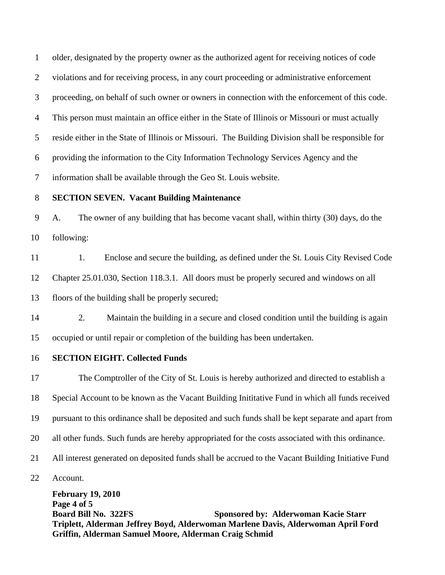1 older, designated by the property owner as the authorized agent for receiving notices of code 2 violations and for receiving process, in any court proceeding or administrative enforcement 3 proceeding, on behalf of such owner or owners in connection with the enforcement of this code. 4 This person must maintain an office either in the State of Illinois or Missouri or must actually 5 reside either in the State of Illinois or Missouri. The Building Division shall be responsible for 6 providing the information to the City Information Technology Services Agency and the 7 information shall be available through the Geo St. Louis website. 8 **SECTION SEVEN. Vacant Building Maintenance**

9 A. The owner of any building that has become vacant shall, within thirty (30) days, do the 10 following:

11 1. Enclose and secure the building, as defined under the St. Louis City Revised Code 12 Chapter 25.01.030, Section 118.3.1. All doors must be properly secured and windows on all 13 floors of the building shall be properly secured;

- 14 2. Maintain the building in a secure and closed condition until the building is again 15 occupied or until repair or completion of the building has been undertaken.
- 16 **SECTION EIGHT. Collected Funds**

**February 19, 2010**  17 The Comptroller of the City of St. Louis is hereby authorized and directed to establish a 18 Special Account to be known as the Vacant Building Inititative Fund in which all funds received 19 pursuant to this ordinance shall be deposited and such funds shall be kept separate and apart from 20 all other funds. Such funds are hereby appropriated for the costs associated with this ordinance. 21 All interest generated on deposited funds shall be accrued to the Vacant Building Initiative Fund 22 Account.

**Page 4 of 5 Board Bill No. 322FS** Sponsored by: Alderwoman Kacie Starr **Sponsored by: Alderwoman Kacie Starr Triplett, Alderman Jeffrey Boyd, Alderwoman Marlene Davis, Alderwoman April Ford Griffin, Alderman Samuel Moore, Alderman Craig Schmid**